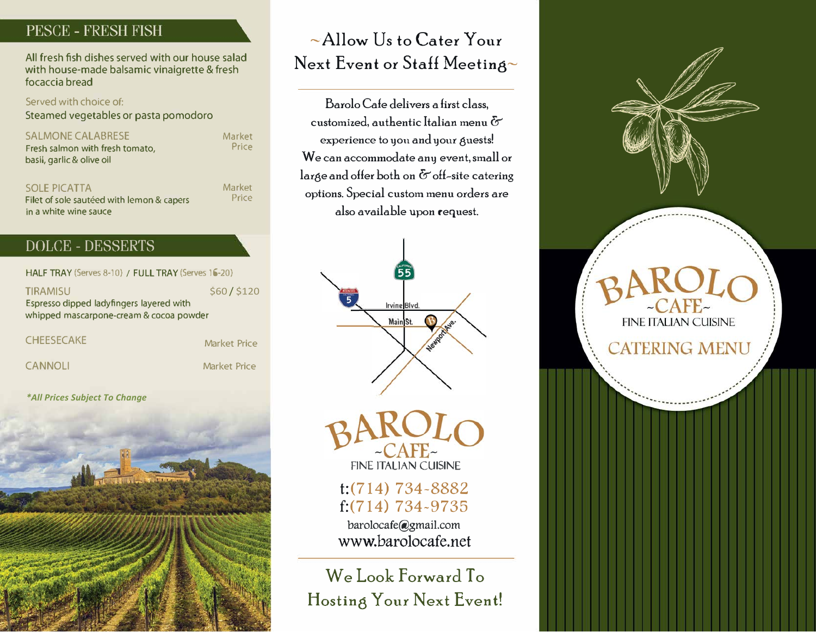# PESCE - FRESH FISH

All fresh fish dishes served with our house salad with house-made balsamic vinaigrette & fresh focaccia bread

Served with choice of: Steamed vegetables or pasta pomodoro

SALMONE CALABRESE

Fresh salmon with fresh tomato, basil, garlic & olive oil

SOLE PICATTA Filet of sole sautéed with lemon & capers in a white wine sauce

### DOLCE - DESSERTS

Market

Market

Price

**Price** 

HALF TRAY (Serves 8-10) / FULL TRAY (Serves 16-20)

TIRAMISU Espresso dipped ladyfingers layered with whipped mascarpone-cream & cocoa powder \$60 / \$120

**CHEESECAKE** 

We Look Forward To **Hosting Your Next Event!** 



CANNOLI

Market Price

Barolo Cafe delivers a first class, customized, authentic Italian menu & experience to you and your guests! We can accommodate any event, small or large and offer both on  $\delta$  off-site catering options. Special custom menu orders are also available upon request.



 $-CAFE$ 

FINE ITALIAN CUISINE t:(714) 734-8882 f:(714) 734-9735 barolocafe@gmail.com www.barolocafe.net

Market Price

*\*All Prices Subject To Change*



# -Allow Us to Cater Your Next Event or Staff Meeting~